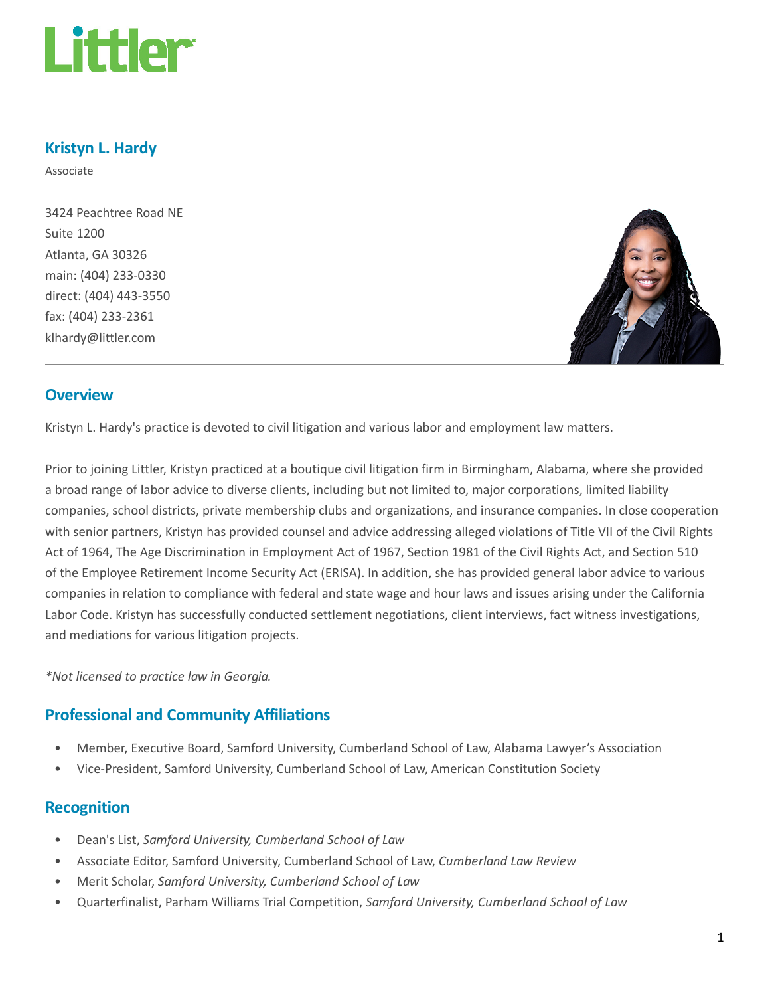

## Kristyn L. Hardy

Associate

3424 Peachtree Road NE Suite 1200 Atlanta, GA 30326 main: (404) 233-0330 direct: (404) 443-3550 fax: (404) 233-2361 klhardy@littler.com



#### **Overview**

Kristyn L. Hardy's practice is devoted to civil litigation and various labor and employment law matters.

Prior to joining Littler, Kristyn practiced at a boutique civil litigation firm in Birmingham, Alabama, where she provided a broad range of labor advice to diverse clients, including but not limited to, major corporations, limited liability companies, school districts, private membership clubs and organizations, and insurance companies. In close cooperation with senior partners, Kristyn has provided counsel and advice addressing alleged violations of Title VII of the Civil Rights Act of 1964, The Age Discrimination in Employment Act of 1967, Section 1981 of the Civil Rights Act, and Section 510 of the Employee Retirement Income Security Act (ERISA). In addition, she has provided general labor advice to various companies in relation to compliance with federal and state wage and hour laws and issues arising under the California Labor Code. Kristyn has successfully conducted settlement negotiations, client interviews, fact witness investigations, and mediations for various litigation projects.

\*Not licensed to practice law in Georgia.

# Professional and Community Affiliations

- Member, Executive Board, Samford University, Cumberland School of Law, Alabama Lawyer's Association
- Vice-President, Samford University, Cumberland School of Law, American Constitution Society

#### Recognition

- Dean's List, Samford University, Cumberland School of Law
- Associate Editor, Samford University, Cumberland School of Law, Cumberland Law Review
- Merit Scholar, Samford University, Cumberland School of Law
- Quarterfinalist, Parham Williams Trial Competition, Samford University, Cumberland School of Law